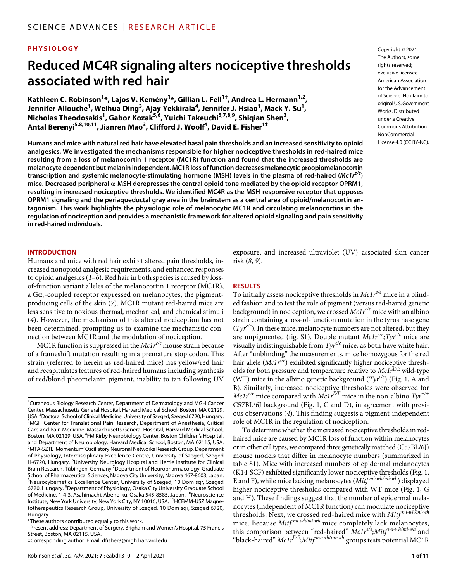## **PHYSIOLOGY**

# **Reduced MC4R signaling alters nociceptive thresholds associated with red hair**

**Kathleen C. Robinson1 \*, Lajos V. Kemény1 \*, Gillian L. Fell1† , Andrea L. Hermann1,2 , Jennifer Allouche<sup>1</sup> , Weihua Ding3 , Ajay Yekkirala4 , Jennifer J. Hsiao1 , Mack Y. Su1 , Nicholas Theodosakis1 , Gabor Kozak5,6 , Yuichi Takeuchi5,7,8,9 , Shiqian Shen3 , Antal Berenyi5,8,10,11, Jianren Mao3 , Clifford J. Woolf4 , David E. Fisher1‡**

**Humans and mice with natural red hair have elevated basal pain thresholds and an increased sensitivity to opioid analgesics. We investigated the mechanisms responsible for higher nociceptive thresholds in red-haired mice resulting from a loss of melanocortin 1 receptor (MC1R) function and found that the increased thresholds are melanocyte dependent but melanin independent. MC1R loss of function decreases melanocytic proopiomelanocortin transcription and systemic melanocyte-stimulating hormone (MSH) levels in the plasma of red-haired (***Mc1re/e***) mice. Decreased peripheral -MSH derepresses the central opioid tone mediated by the opioid receptor OPRM1, resulting in increased nociceptive thresholds. We identified MC4R as the MSH-responsive receptor that opposes OPRM1 signaling and the periaqueductal gray area in the brainstem as a central area of opioid/melanocortin antagonism. This work highlights the physiologic role of melanocytic MC1R and circulating melanocortins in the regulation of nociception and provides a mechanistic framework for altered opioid signaling and pain sensitivity in red-haired individuals.**

#### **INTRODUCTION**

Humans and mice with red hair exhibit altered pain thresholds, increased nonopioid analgesic requirements, and enhanced responses to opioid analgesics (*1*–*6*). Red hair in both species is caused by lossof-function variant alleles of the melanocortin 1 receptor (MC1R), a  $Ga<sub>s</sub>$ -coupled receptor expressed on melanocytes, the pigmentproducing cells of the skin (*7*). MC1R mutant red-haired mice are less sensitive to noxious thermal, mechanical, and chemical stimuli (*4*). However, the mechanism of this altered nociception has not been determined, prompting us to examine the mechanistic connection between MC1R and the modulation of nociception.

MC1R function is suppressed in the *Mc1r<sup>e/e</sup>* mouse strain because of a frameshift mutation resulting in a premature stop codon. This strain (referred to herein as red-haired mice) has yellow/red hair and recapitulates features of red-haired humans including synthesis of red/blond pheomelanin pigment, inability to tan following UV

‡Corresponding author. Email: [dfisher3@mgh.harvard.edu](mailto:dfisher3@mgh.harvard.edu)

exposure, and increased ultraviolet (UV)–associated skin cancer risk (*8*, *9*).

#### **RESULTS**

To initially assess nociceptive thresholds in *Mc1r<sup>e/e</sup>* mice in a blinded fashion and to test the role of pigment (versus red-haired genetic background) in nociception, we crossed *Mc1re/e* mice with an albino strain containing a loss-of-function mutation in the tyrosinase gene  $(Tyr^{c/c})$ . In these mice, melanocyte numbers are not altered, but they are unpigmented (fig. S1). Double mutant  $McIr^{e/e}; Tyr^{e/c}$  mice are visually indistinguishable from  $\text{Tw}^{\mathcal{O}\mathcal{C}}$  mice, as both have white hair. After "unblinding" the measurements, mice homozygous for the red hair allele (*Mc1re/e*) exhibited significantly higher nociceptive thresholds for both pressure and temperature relative to *Mc1rE/E* wild-type (WT) mice in the albino genetic background  $(Tyr^{c/c})$  (Fig. 1, A and B). Similarly, increased nociceptive thresholds were observed for *Mc1re/e* mice compared with *Mc1rE/E* mice in the non-albino *Tyr+/+* C57BL/6J background (Fig. 1, C and D), in agreement with previous observations (*4*). This finding suggests a pigment-independent role of MC1R in the regulation of nociception.

To determine whether the increased nociceptive thresholds in redhaired mice are caused by MC1R loss of function within melanocytes or in other cell types, we compared three genetically matched (C57BL/6J) mouse models that differ in melanocyte numbers (summarized in table S1). Mice with increased numbers of epidermal melanocytes (K14-SCF) exhibited significantly lower nociceptive thresholds (Fig. 1, E and F), while mice lacking melanocytes (*Mitf mi-wh/mi-wh*) displayed higher nociceptive thresholds compared with WT mice (Fig. 1, G and H). These findings suggest that the number of epidermal melanocytes (independent of MC1R function) can modulate nociceptive thresholds. Next, we crossed red-haired mice with *Mitf mi-wh/mi-wh* mice. Because *Mitf mi-wh/mi-wh* mice completely lack melanocytes, this comparison between "red-haired" *Mc1re/e* ;*Mitf mi-wh/mi-wh* and "black-haired" *Mc1rE/E* ;*Mitf mi-wh/mi-wh* groups tests potential MC1R

Copyright © 2021 The Authors, some rights reserved: exclusive licensee American Association for the Advancement of Science. No claim to original U.S.Government Works. Distributed under a Creative Commons Attribution **NonCommercial** License 4.0 (CC BY-NC).

<sup>&</sup>lt;sup>1</sup>Cutaneous Biology Research Center, Department of Dermatology and MGH Cancer Center, Massachusetts General Hospital, Harvard Medical School, Boston, MA 02129, USA.<sup>2</sup> Doctoral School of Clinical Medicine, University of Szeged, Szeged 6720, Hungary.<br><sup>3</sup>MGH, Center for Translational Pain Research, Denartment of Anesthesia, Critical. <sup>3</sup>MGH Center for Translational Pain Research, Department of Anesthesia, Critical Care and Pain Medicine, Massachusetts General Hospital, Harvard Medical School, Boston, MA 02129, USA. <sup>4</sup>FM Kirby Neurobiology Center, Boston Children's Hospital, and Department of Neurobiology, Harvard Medical School, Boston, MA 02115, USA. 5 MTA-SZTE 'Momentum' Oscillatory Neuronal Networks Research Group, Department of Physiology, Interdisciplinary Excellence Centre, University of Szeged, Szeged H-6720, Hungary. <sup>6</sup>University Neurology Hospital and Hertie Institute for Clinical Brain Research, Tübingen, Germany <sup>7</sup> Department of Neuropharmacology, Graduate School of Pharmaceutical Sciences, Nagoya City University, Nagoya 467-8603, Japan. 8 Neurocybernetics Excellence Center, University of Szeged, 10 Dom sqr, Szeged 6720, Hungary. <sup>9</sup>Department of Physiology, Osaka City University Graduate School of Medicine, 1-4-3, Asahimachi, Abeno-ku, Osaka 545-8585, Japan. <sup>10</sup>Neuroscience Institute, New York University, New York City, NY 10016, USA. <sup>11</sup>HCEMM-USZ Magnetotherapeutics Research Group, University of Szeged, 10 Dom sqr, Szeged 6720, Hungary.

<sup>\*</sup>These authors contributed equally to this work.

<sup>†</sup>Present address: Department of Surgery, Brigham and Women's Hospital, 75 Francis Street, Boston, MA 02115, USA.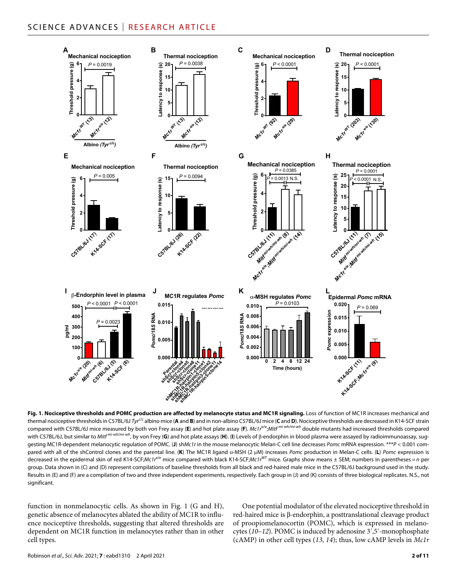

**Fig. 1. Nociceptive thresholds and POMC production are affected by melanocyte status and MC1R signaling.** Loss of function of MC1R increases mechanical and thermal nociceptive thresholds in C57BL/6J *Tyrc/c* albino mice (**A** and **B**) and in non-albino C57BL/6J mice (**C** and **D**). Nociceptive thresholds are decreased in K14-SCF strain compared with C57BL/6J mice measured by both von Frey assay (**E**) and hot plate assay (**F**). *Mc1r*e/e;*Mitf mi-wh/mi-wh* double mutants had increased thresholds compared with C57BL/6J, but similar to Mitf<sup>mi-wh/mi-wh</sup>, by von Frey (G) and hot plate assays (H). (I) Levels of  $\beta$ -endorphin in blood plasma were assayed by radioimmunoassay, suggesting MC1R-dependent melanocytic regulation of POMC. (**J**) sh*Mc1r* in the mouse melanocytic Melan-C cell line decreases *Pomc* mRNA expression. \*\*\**P* < 0.001 compared with all of the shControl clones and the parental line. (**K**) The MC1R ligand  $\alpha$ -MSH (2 µM) increases *Pomc* production in Melan-C cells. (L) *Pomc* expression is decreased in the epidermal skin of red K14-SCF;*Mc1re/e* mice compared with black K14-SCF;*Mc1rWT* mice. Graphs show means ± SEM; numbers in parentheses = *n* per group. Data shown in (C) and (D) represent compilations of baseline thresholds from all black and red-haired male mice in the C57BL/6J background used in the study. Results in (E) and (F) are a compilation of two and three independent experiments, respectively. Each group in (J) and (K) consists of three biological replicates. N.S., not significant.

function in nonmelanocytic cells. As shown in Fig. 1 (G and H), genetic absence of melanocytes ablated the ability of MC1R to influence nociceptive thresholds, suggesting that altered thresholds are dependent on MC1R function in melanocytes rather than in other cell types.

One potential modulator of the elevated nociceptive threshold in red-haired mice is β-endorphin, a posttranslational cleavage product of proopiomelanocortin (POMC), which is expressed in melanocytes (*10*–*12*). POMC is induced by adenosine 3′,5′-monophosphate (cAMP) in other cell types (*13*, *14*); thus, low cAMP levels in *Mc1r*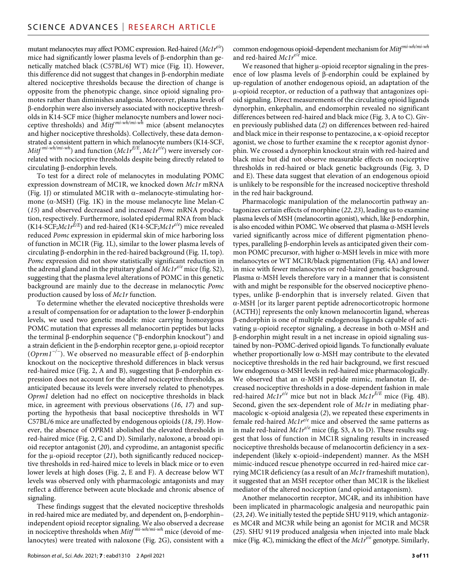mutant melanocytes may affect POMC expression. Red-haired (*Mc1re/e*) mice had significantly lower plasma levels of  $\beta$ -endorphin than genetically matched black (C57BL/6J WT) mice (Fig. 1I). However, this difference did not suggest that changes in  $\beta$ -endorphin mediate altered nociceptive thresholds because the direction of change is opposite from the phenotypic change, since opioid signaling promotes rather than diminishes analgesia. Moreover, plasma levels of -endorphin were also inversely associated with nociceptive thresholds in K14-SCF mice (higher melanocyte numbers and lower nociceptive thresholds) and *Mitf mi-wh/mi-wh* mice (absent melanocytes and higher nociceptive thresholds). Collectively, these data demonstrated a consistent pattern in which melanocyte numbers (K14-SCF, *Mitf mi-wh/mi-wh*) and function (*Mc1rE/E*, *Mc1re/e*) were inversely correlated with nociceptive thresholds despite being directly related to  $circulating \beta$ -endorphin levels.

To test for a direct role of melanocytes in modulating POMC expression downstream of MC1R, we knocked down *Mc1r* mRNA (Fig. 1J) or stimulated MC1R with  $\alpha$ -melanocyte-stimulating hormone ( $\alpha$ -MSH) (Fig. 1K) in the mouse melanocyte line Melan-C (*15*) and observed decreased and increased *Pomc* mRNA production, respectively. Furthermore, isolated epidermal RNA from black (K14-SCF;*Mc1rE/E*) and red-haired (K14-SCF;*Mc1re/e*) mice revealed reduced *Pomc* expression in epidermal skin of mice harboring loss of function in MC1R (Fig. 1L), similar to the lower plasma levels of circulating  $\beta$ -endorphin in the red-haired background (Fig. 1I, top). *Pomc* expression did not show statistically significant reduction in the adrenal gland and in the pituitary gland of *Mc1re/e* mice (fig. S2), suggesting that the plasma level alterations of POMC in this genetic background are mainly due to the decrease in melanocytic *Pomc* production caused by loss of *Mc1r* function.

To determine whether the elevated nociceptive thresholds were a result of compensation for or adaptation to the lower  $\beta$ -endorphin levels, we used two genetic models: mice carrying homozygous POMC mutation that expresses all melanocortin peptides but lacks the terminal  $\beta$ -endorphin sequence (" $\beta$ -endorphin knockout") and a strain deficient in the  $\beta$ -endorphin receptor gene,  $\mu$ -opioid receptor (*Oprm1<sup>-/−</sup>*). We observed no measurable effect of β-endorphin knockout on the nociceptive threshold differences in black versus red-haired mice (Fig. 2, A and B), suggesting that  $\beta$ -endorphin expression does not account for the altered nociceptive thresholds, as anticipated because its levels were inversely related to phenotypes. *Oprm1* deletion had no effect on nociceptive thresholds in black mice, in agreement with previous observations (*16*, *17*) and supporting the hypothesis that basal nociceptive thresholds in WT C57BL/6 mice are unaffected by endogenous opioids (*18*, *19*). However, the absence of OPRM1 abolished the elevated thresholds in red-haired mice (Fig. 2, C and D). Similarly, naloxone, a broad opioid receptor antagonist (*20*), and cyprodime, an antagonist specific for the  $\mu$ -opioid receptor (21), both significantly reduced nociceptive thresholds in red-haired mice to levels in black mice or to even lower levels at high doses (Fig. 2, E and F). A decrease below WT levels was observed only with pharmacologic antagonists and may reflect a difference between acute blockade and chronic absence of signaling.

These findings suggest that the elevated nociceptive thresholds in red-haired mice are mediated by, and dependent on,  $\beta$ -endorphin– independent opioid receptor signaling. We also observed a decrease in nociceptive thresholds when *Mitf mi-wh/mi-wh* mice (devoid of melanocytes) were treated with naloxone (Fig. 2G), consistent with a common endogenous opioid-dependent mechanism for *Mitf mi-wh/mi-wh* and red-haired *Mc1re/e* mice.

We reasoned that higher  $\mu$ -opioid receptor signaling in the presence of low plasma levels of  $\beta$ -endorphin could be explained by up-regulation of another endogenous opioid, an adaptation of the -opioid receptor, or reduction of a pathway that antagonizes opioid signaling. Direct measurements of the circulating opioid ligands dynorphin, enkephalin, and endomorphin revealed no significant differences between red-haired and black mice (Fig. 3, A to C). Given previously published data (*2*) on differences between red-haired and black mice in their response to pentazocine, a  $\kappa$ -opioid receptor agonist, we chose to further examine the  $\kappa$  receptor agonist dynorphin. We crossed a dynorphin knockout strain with red-haired and black mice but did not observe measurable effects on nociceptive thresholds in red-haired or black genetic backgrounds (Fig. 3, D and E). These data suggest that elevation of an endogenous opioid is unlikely to be responsible for the increased nociceptive threshold in the red hair background.

Pharmacologic manipulation of the melanocortin pathway antagonizes certain effects of morphine (*22*, *23*), leading us to examine plasma levels of MSH (melanocortin agonist), which, like  $\beta$ -endorphin, is also encoded within POMC. We observed that plasma  $\alpha$ -MSH levels varied significantly across mice of different pigmentation phenotypes, paralleling  $\beta$ -endorphin levels as anticipated given their common POMC precursor, with higher  $\alpha$ -MSH levels in mice with more melanocytes or WT MC1R/black pigmentation (Fig. 4A) and lower in mice with fewer melanocytes or red-haired genetic background. Plasma  $\alpha$ -MSH levels therefore vary in a manner that is consistent with and might be responsible for the observed nociceptive phenotypes, unlike  $\beta$ -endorphin that is inversely related. Given that -MSH [or its larger parent peptide adrenocorticotropic hormone (ACTH)] represents the only known melanocortin ligand, whereas -endorphin is one of multiple endogenous ligands capable of activating  $\mu$ -opioid receptor signaling, a decrease in both  $\alpha$ -MSH and -endorphin might result in a net increase in opioid signaling sustained by non–POMC-derived opioid ligands. To functionally evaluate whether proportionally low  $\alpha$ -MSH may contribute to the elevated nociceptive thresholds in the red hair background, we first rescued low endogenous  $\alpha$ -MSH levels in red-haired mice pharmacologically. We observed that an  $\alpha$ -MSH peptide mimic, melanotan II, decreased nociceptive thresholds in a dose-dependent fashion in male red-haired *Mc1r<sup>e/e</sup>* mice but not in black *Mc1r<sup>E/E</sup>* mice (Fig. 4B). Second, given the sex-dependent role of *Mc1r* in mediating pharmacologic  $\kappa$ -opioid analgesia (2), we repeated these experiments in female red-haired *Mc1re/e* mice and observed the same patterns as in male red-haired *Mc1re/e* mice (fig. S3, A to D). These results suggest that loss of function in MC1R signaling results in increased nociceptive thresholds because of melanocortin deficiency in a sexindependent (likely  $\kappa$ -opioid–independent) manner. As the MSH mimic-induced rescue phenotype occurred in red-haired mice carrying MC1R deficiency (as a result of an *Mc1r* frameshift mutation), it suggested that an MSH receptor other than MC1R is the likeliest mediator of the altered nociception (and opioid antagonism).

Another melanocortin receptor, MC4R, and its inhibition have been implicated in pharmacologic analgesia and neuropathic pain (*23*, *24*). We initially tested the peptide SHU 9119, which antagonizes MC4R and MC3R while being an agonist for MC1R and MC5R (*25*). SHU 9119 produced analgesia when injected into male black mice (Fig. 4C), mimicking the effect of the *Mc1re/e* genotype. Similarly,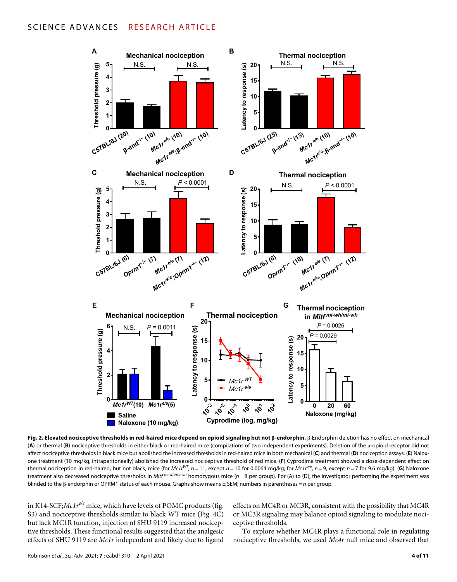

Fig. 2. Elevated nociceptive thresholds in red-haired mice depend on opioid signaling but not  $\beta$ -endorphin.  $\beta$ -Endorphin deletion has no effect on mechanical (A) or thermal (B) nociceptive thresholds in either black or red-haired mice (compilations of two independent experiments). Deletion of the  $\mu$ -opioid receptor did not affect nociceptive thresholds in black mice but abolished the increased thresholds in red-haired mice in both mechanical (**C**) and thermal (**D**) nociception assays. (**E**) Naloxone treatment (10 mg/kg, intraperitoneally) abolished the increased nociceptive threshold of red mice. (**F**) Cyprodime treatment showed a dose-dependent effect on thermal nociception in red-haired, but not black, mice (for  $Mc1r^{WT}$ ,  $n = 11$ , except  $n = 10$  for 0.0064 mg/kg; for  $Mc1r^{C}$ ,  $n = 9$ , except  $n = 7$  for 9.6 mg/kg). (G) Naloxone treatment also decreased nociceptive thresholds in *Mitf mi-wh/mi-wh* homozygous mice (*n* = 8 per group). For (A) to (D), the investigator performing the experiment was blinded to the β-endorphin or OPRM1 status of each mouse. Graphs show means ± SEM; numbers in parentheses = *n* per group.

in K14-SCF;*Mc1r<sup>e/e</sup>* mice, which have levels of POMC products (fig. S3) and nociceptive thresholds similar to black WT mice (Fig. 4C) but lack MC1R function, injection of SHU 9119 increased nociceptive thresholds. These functional results suggested that the analgesic effects of SHU 9119 are *Mc1r* independent and likely due to ligand

effects on MC4R or MC3R, consistent with the possibility that MC4R or MC3R signaling may balance opioid signaling to modulate nociceptive thresholds.

To explore whether MC4R plays a functional role in regulating nociceptive thresholds, we used *Mc4r* null mice and observed that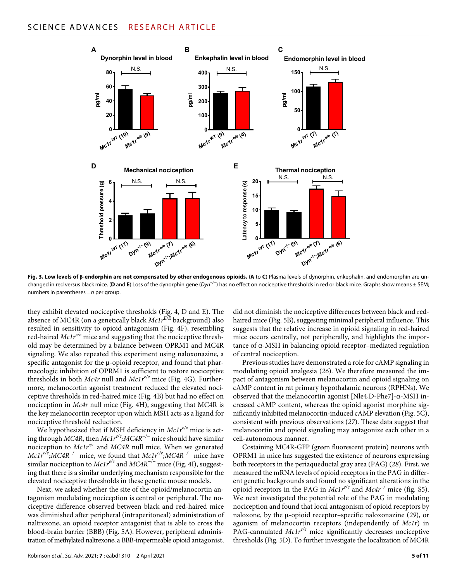

Fig. 3. Low levels of *B-endorphin are not compensated by other endogenous opioids. (A to C) Plasma levels of dynorphin, enkephalin, and endomorphin are un*changed in red versus black mice. (**D** and **E**) Loss of the dynorphin gene (*Dyn−/−*) has no effect on nociceptive thresholds in red or black mice. Graphs show means ± SEM; numbers in parentheses = *n* per group.

they exhibit elevated nociceptive thresholds (Fig. 4, D and E). The absence of MC4R (on a genetically black *Mc1rE/E* background) also resulted in sensitivity to opioid antagonism (Fig. 4F), resembling red-haired *Mc1r<sup>e/e</sup>* mice and suggesting that the nociceptive threshold may be determined by a balance between OPRM1 and MC4R signaling. We also repeated this experiment using naloxonazine, a specific antagonist for the  $\mu$ -opioid receptor, and found that pharmacologic inhibition of OPRM1 is sufficient to restore nociceptive thresholds in both *Mc4r* null and *Mc1re/e* mice (Fig. 4G). Furthermore, melanocortin agonist treatment reduced the elevated nociceptive thresholds in red-haired mice (Fig. 4B) but had no effect on nociception in *Mc4r* null mice (Fig. 4H), suggesting that MC4R is the key melanocortin receptor upon which MSH acts as a ligand for nociceptive threshold reduction.

We hypothesized that if MSH deficiency in *Mc1r<sup>e/e</sup>* mice is acting through *MC4R*, then *Mc1re/e;MC4R−/−* mice should have similar nociception to *Mc1re/e* and *MC4R* null mice. When we generated *Mc1r<sup>e/e</sup>;MC4R<sup>-/−</sup>* mice, we found that *Mc1r<sup>e/e</sup>;MC4R<sup>-/−</sup>* mice have similar nociception to *Mc1re/e* and *MC4R−/−* mice (Fig. 4I), suggesting that there is a similar underlying mechanism responsible for the elevated nociceptive thresholds in these genetic mouse models.

Next, we asked whether the site of the opioid/melanocortin antagonism modulating nociception is central or peripheral. The nociceptive difference observed between black and red-haired mice was diminished after peripheral (intraperitoneal) administration of naltrexone, an opioid receptor antagonist that is able to cross the blood-brain barrier (BBB) (Fig. 5A). However, peripheral administration of methylated naltrexone, a BBB-impermeable opioid antagonist,

Robinson *et al*., *Sci. Adv.* 2021; **7** : eabd1310 2 April 2021

did not diminish the nociceptive differences between black and redhaired mice (Fig. 5B), suggesting minimal peripheral influence. This suggests that the relative increase in opioid signaling in red-haired mice occurs centrally, not peripherally, and highlights the impor $t$ ance of  $\alpha$ -MSH in balancing opioid receptor–mediated regulation of central nociception.

Previous studies have demonstrated a role for cAMP signaling in modulating opioid analgesia (*26*). We therefore measured the impact of antagonism between melanocortin and opioid signaling on cAMP content in rat primary hypothalamic neurons (RPHNs). We observed that the melanocortin agonist [Nle4,D-Phe7]- $\alpha$ -MSH increased cAMP content, whereas the opioid agonist morphine significantly inhibited melanocortin-induced cAMP elevation (Fig. 5C), consistent with previous observations (*27*). These data suggest that melanocortin and opioid signaling may antagonize each other in a cell-autonomous manner.

Costaining MC4R-GFP (green fluorescent protein) neurons with OPRM1 in mice has suggested the existence of neurons expressing both receptors in the periaqueductal gray area (PAG) (*28*). First, we measured the mRNA levels of opioid receptors in the PAG in different genetic backgrounds and found no significant alterations in the opioid receptors in the PAG in *Mc1re/e* and *Mc4r−/* mice (fig. S5). We next investigated the potential role of the PAG in modulating nociception and found that local antagonism of opioid receptors by naloxone, by the  $\mu$ -opioid receptor–specific naloxonazine (29), or agonism of melanocortin receptors (independently of *Mc1r*) in PAG-cannulated *Mc1r<sup>e/e</sup>* mice significantly decreases nociceptive thresholds (Fig. 5D). To further investigate the localization of MC4R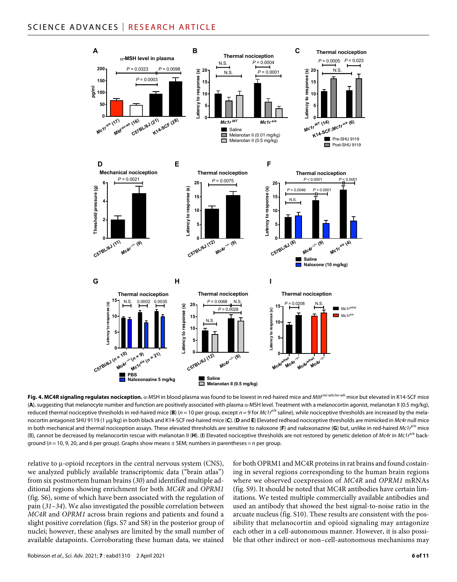

**Fig. 4. MC4R signaling regulates nociception.** α-MSH in blood plasma was found to be lowest in red-haired mice and *Mitf*<sup>mi-wh/mi-wh</sup> mice but elevated in K14-SCF mice (A), suggesting that melanocyte number and function are positively associated with plasma a-MSH level. Treatment with a melanocortin agonist, melanotan II (0.5 mg/kg), reduced thermal nociceptive thresholds in red-haired mice (**B**) (*n* = 10 per group, except *n* = 9 for *Mc1r<sup>e/e</sup>* saline), while nociceptive thresholds are increased by the melanocortin antagonist SHU 9119 (1 g/kg) in both black and K14-SCF red-haired mice (**C**). (**D** and **E**) Elevated redhead nociceptive thresholds are mimicked in *Mc4r* null mice in both mechanical and thermal nociception assays. These elevated thresholds are sensitive to naloxone (**F**) and naloxonazine (**G**) but, unlike in red-haired *Mc1re/e* mice (B), cannot be decreased by melanocortin rescue with melanotan II (**H**). (**I**) Elevated nociceptive thresholds are not restored by genetic deletion of *Mc4r* in *Mc1re/e* background (*n* = 10, 9, 20, and 6 per group). Graphs show means ± SEM; numbers in parentheses = *n* per group.

relative to  $\mu$ -opioid receptors in the central nervous system (CNS), we analyzed publicly available transcriptomic data ("brain atlas") from six postmortem human brains (*30*) and identified multiple additional regions showing enrichment for both *MC4R* and *OPRM1* (fig. S6), some of which have been associated with the regulation of pain (*31*–*34*). We also investigated the possible correlation between *MC4R* and *OPRM1* across brain regions and patients and found a slight positive correlation (figs. S7 and S8) in the posterior group of nuclei; however, these analyses are limited by the small number of available datapoints. Corroborating these human data, we stained

for both OPRM1 and MC4R proteins in rat brains and found costaining in several regions corresponding to the human brain regions where we observed coexpression of *MC4R* and *OPRM1* mRNAs (fig. S9). It should be noted that MC4R antibodies have certain limitations. We tested multiple commercially available antibodies and used an antibody that showed the best signal-to-noise ratio in the arcuate nucleus (fig. S10). These results are consistent with the possibility that melanocortin and opioid signaling may antagonize each other in a cell-autonomous manner. However, it is also possible that other indirect or non–cell-autonomous mechanisms may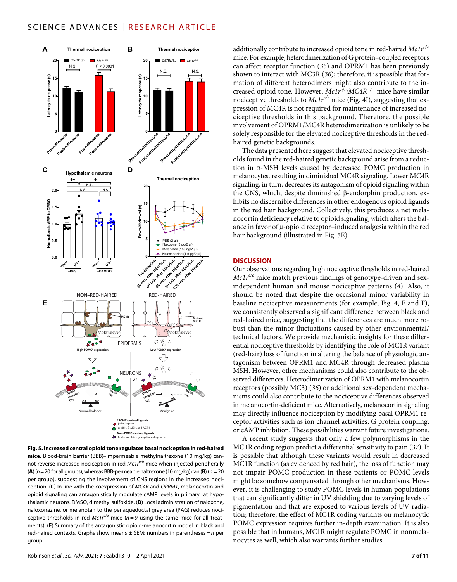

**Fig. 5. Increased central opioid tone regulates basal nociception in red-haired mice.** Blood-brain barrier (BBB)–impermeable methylnaltrexone (10 mg/kg) cannot reverse increased nociception in red *Mc1re/e* mice when injected peripherally (**A**) (*n*=20 for all groups), whereas BBB-permeable naltrexone (10 mg/kg) can (**B**) (*n* = 20 per group), suggesting the involvement of CNS regions in the increased nociception. (**C**) In line with the coexpression of *MC4R* and *OPRM1*, melanocortin and opioid signaling can antagonistically modulate cAMP levels in primary rat hypothalamic neurons. DMSO, dimethyl sulfoxide. (**D**) Local administration of naloxone, naloxonazine, or melanotan to the periaqueductal gray area (PAG) reduces nociceptive thresholds in red  $Mc1r^{e/e}$  mice ( $n=9$  using the same mice for all treatments). (**E**) Summary of the antagonistic opioid-melanocortin model in black and red-haired contexts. Graphs show means ± SEM; numbers in parentheses = *n* per group.

additionally contribute to increased opioid tone in red-haired *Mc1re/e* mice. For example, heterodimerization of G protein–coupled receptors can affect receptor function (*35*) and OPRM1 has been previously shown to interact with MC3R (*36*); therefore, it is possible that formation of different heterodimers might also contribute to the increased opioid tone. However, *Mc1re/e;MC4R−/−* mice have similar nociceptive thresholds to *Mc1re/e* mice (Fig. 4I), suggesting that expression of MC4R is not required for maintenance of increased nociceptive thresholds in this background. Therefore, the possible involvement of OPRM1/MC4R heterodimerization is unlikely to be solely responsible for the elevated nociceptive thresholds in the redhaired genetic backgrounds.

The data presented here suggest that elevated nociceptive thresholds found in the red-haired genetic background arise from a reduction in  $\alpha$ -MSH levels caused by decreased POMC production in melanocytes, resulting in diminished MC4R signaling. Lower MC4R signaling, in turn, decreases its antagonism of opioid signaling within the CNS, which, despite diminished  $\beta$ -endorphin production, exhibits no discernible differences in other endogenous opioid ligands in the red hair background. Collectively, this produces a net melanocortin deficiency relative to opioid signaling, which alters the balance in favor of  $\mu$ -opioid receptor–induced analgesia within the red hair background (illustrated in Fig. 5E).

#### **DISCUSSION**

Our observations regarding high nociceptive thresholds in red-haired *Mc1r<sup>e/e</sup>* mice match previous findings of genotype-driven and sexindependent human and mouse nociceptive patterns (*4*). Also, it should be noted that despite the occasional minor variability in baseline nociceptive measurements (for example, Fig. 4, E and F), we consistently observed a significant difference between black and red-haired mice, suggesting that the differences are much more robust than the minor fluctuations caused by other environmental/ technical factors. We provide mechanistic insights for these differential nociceptive thresholds by identifying the role of MC1R variant (red-hair) loss of function in altering the balance of physiologic antagonism between OPRM1 and MC4R through decreased plasma MSH. However, other mechanisms could also contribute to the observed differences. Heterodimerization of OPRM1 with melanocortin receptors (possibly MC3) (*36*) or additional sex-dependent mechanisms could also contribute to the nociceptive differences observed in melanocortin-deficient mice. Alternatively, melanocortin signaling may directly influence nociception by modifying basal OPRM1 receptor activities such as ion channel activities, G protein coupling, or cAMP inhibition. These possibilities warrant future investigations.

A recent study suggests that only a few polymorphisms in the MC1R coding region predict a differential sensitivity to pain (*37*). It is possible that although these variants would result in decreased MC1R function (as evidenced by red hair), the loss of function may not impair POMC production in these patients or POMC levels might be somehow compensated through other mechanisms. However, it is challenging to study POMC levels in human populations that can significantly differ in UV shielding due to varying levels of pigmentation and that are exposed to various levels of UV radiation; therefore, the effect of MC1R coding variants on melanocytic POMC expression requires further in-depth examination. It is also possible that in humans, MC1R might regulate POMC in nonmelanocytes as well, which also warrants further studies.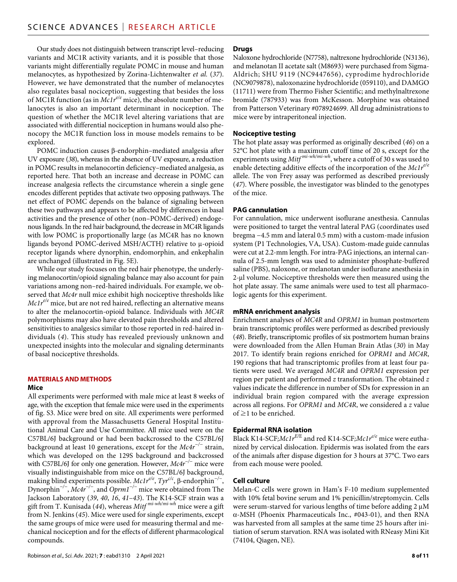Our study does not distinguish between transcript level–reducing variants and MC1R activity variants, and it is possible that those variants might differentially regulate POMC in mouse and human melanocytes, as hypothesized by Zorina-Lichtenwalter *et al.* (*37*). However, we have demonstrated that the number of melanocytes also regulates basal nociception, suggesting that besides the loss of MC1R function (as in *Mc1re/e* mice), the absolute number of melanocytes is also an important determinant in nociception. The question of whether the MC1R level altering variations that are associated with differential nociception in humans would also phenocopy the MC1R function loss in mouse models remains to be explored.

POMC induction causes  $\beta$ -endorphin–mediated analgesia after UV exposure (*38*), whereas in the absence of UV exposure, a reduction in POMC results in melanocortin deficiency–mediated analgesia, as reported here. That both an increase and decrease in POMC can increase analgesia reflects the circumstance wherein a single gene encodes different peptides that activate two opposing pathways. The net effect of POMC depends on the balance of signaling between these two pathways and appears to be affected by differences in basal activities and the presence of other (non–POMC-derived) endogenous ligands. In the red hair background, the decrease in MC4R ligands with low POMC is proportionally large (as MC4R has no known ligands beyond POMC-derived MSH/ACTH) relative to  $\mu$ -opioid receptor ligands where dynorphin, endomorphin, and enkephalin are unchanged (illustrated in Fig. 5E).

While our study focuses on the red hair phenotype, the underlying melanocortin/opioid signaling balance may also account for pain variations among non–red-haired individuals. For example, we observed that *Mc4r* null mice exhibit high nociceptive thresholds like *Mc1re/e* mice, but are not red haired, reflecting an alternative means to alter the melanocortin-opioid balance. Individuals with *MC4R* polymorphisms may also have elevated pain thresholds and altered sensitivities to analgesics similar to those reported in red-haired individuals (*4*). This study has revealed previously unknown and unexpected insights into the molecular and signaling determinants of basal nociceptive thresholds.

## **MATERIALS AND METHODS**

#### **Mice**

All experiments were performed with male mice at least 8 weeks of age, with the exception that female mice were used in the experiments of fig. S3. Mice were bred on site. All experiments were performed with approval from the Massachusetts General Hospital Institutional Animal Care and Use Committee. All mice used were on the C57BL/6J background or had been backcrossed to the C57BL/6J background at least 10 generations, except for the *Mc4r−/−* strain, which was developed on the 129S background and backcrossed with C57BL/6J for only one generation. However, *Mc4r−/−* mice were visually indistinguishable from mice on the C57BL/6J background, making blind experiments possible. *Mc1r<sup>e/e</sup>*, *Tyr<sup>c/c</sup>*, β-endorphin<sup>-/−</sup>, Dynorphin*−/−*, *Mc4r−/−*, and *Oprm1−/−* mice were obtained from The Jackson Laboratory (*39*, *40*, *16*, *41*–*43*). The K14-SCF strain was a gift from T. Kunisada (*44*), whereas *Mitf mi-wh/mi-wh* mice were a gift from N. Jenkins (*45*). Mice were used for single experiments, except the same groups of mice were used for measuring thermal and mechanical nociception and for the effects of different pharmacological compounds.

#### **Drugs**

Naloxone hydrochloride (N7758), naltrexone hydrochloride (N3136), and melanotan II acetate salt (M8693) were purchased from Sigma-Aldrich; SHU 9119 (NC9447656), cyprodime hydrochloride (NC9079878), naloxonazine hydrochloride (059110), and DAMGO (11711) were from Thermo Fisher Scientific; and methylnaltrexone bromide (787933) was from McKesson. Morphine was obtained from Patterson Veterinary #078924699. All drug administrations to mice were by intraperitoneal injection.

#### **Nociceptive testing**

The hot plate assay was performed as originally described (*46*) on a 52°C hot plate with a maximum cutoff time of 20 s, except for the experiments using *Mitf mi-wh/mi-wh*, where a cutoff of 30 s was used to enable detecting additive effects of the incorporation of the *Mc1re/e* allele. The von Frey assay was performed as described previously (*47*). Where possible, the investigator was blinded to the genotypes of the mice.

## **PAG cannulation**

For cannulation, mice underwent isoflurane anesthesia. Cannulas were positioned to target the ventral lateral PAG (coordinates used bregma −4.5 mm and lateral 0.5 mm) with a custom-made infusion system (P1 Technologies, VA, USA). Custom-made guide cannulas were cut at 2.2-mm length. For intra-PAG injections, an internal cannula of 2.5-mm length was used to administer phosphate-buffered saline (PBS), naloxone, or melanotan under isoflurane anesthesia in 2-µl volume. Nociceptive thresholds were then measured using the hot plate assay. The same animals were used to test all pharmacologic agents for this experiment.

#### **mRNA enrichment analysis**

Enrichment analyses of *MC4R* and *OPRM1* in human postmortem brain transcriptomic profiles were performed as described previously (*48*). Briefly, transcriptomic profiles of six postmortem human brains were downloaded from the Allen Human Brain Atlas (*30*) in May 2017. To identify brain regions enriched for *OPRM1* and *MC4R*, 190 regions that had transcriptomic profiles from at least four patients were used. We averaged *MC4R* and *OPRM1* expression per region per patient and performed *z* transformation. The obtained *z* values indicate the difference in number of SDs for expression in an individual brain region compared with the average expression across all regions. For *OPRM1* and *MC4R*, we considered a *z* value of  $\geq$ 1 to be enriched.

#### **Epidermal RNA isolation**

Black K14-SCF; $McIr<sup>E/E</sup>$  and red K14-SCF; $McIr<sup>e/e</sup>$  mice were euthanized by cervical dislocation. Epidermis was isolated from the ears of the animals after dispase digestion for 3 hours at 37°C. Two ears from each mouse were pooled.

#### **Cell culture**

Melan-C cells were grown in Ham's F-10 medium supplemented with 10% fetal bovine serum and 1% penicillin/streptomycin. Cells were serum-starved for various lengths of time before adding 2  $\mu$ M -MSH (Phoenix Pharmaceuticals Inc., #043-01), and then RNA was harvested from all samples at the same time 25 hours after initiation of serum starvation. RNA was isolated with RNeasy Mini Kit (74104, Qiagen, NE).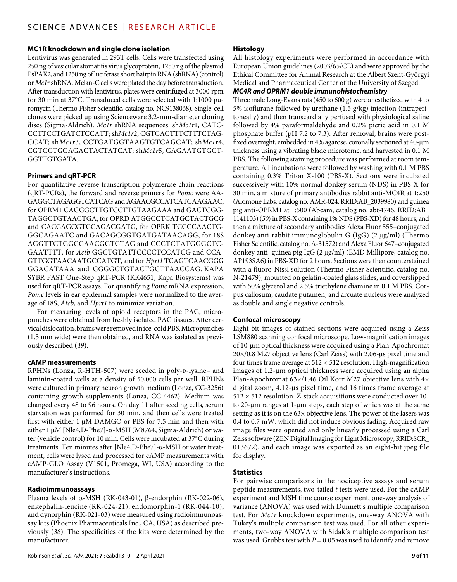### **MC1R knockdown and single clone isolation**

Lentivirus was generated in 293T cells. Cells were transfected using 250 ng of vesicular stomatitis virus glycoprotein, 1250 ng of the plasmid PsPAX2, and 1250 ng of luciferase short hairpin RNA (shRNA) (control) or *Mc1r* shRNA. Melan-C cells were plated the day before transduction. After transduction with lentivirus, plates were centrifuged at 3000 rpm for 30 min at 37°C. Transduced cells were selected with 1:1000 puromycin (Thermo Fisher Scientific, catalog no. NC9138068). Single-cell clones were picked up using Scienceware 3.2-mm-diameter cloning discs (Sigma-Aldrich). *Mc1r* shRNA sequences: sh*Mc1r*1, CATC-CCTTCCTGATCTCCATT; sh*Mc1r*2, CGTCACTTTCTTTCTAG-CCAT; sh*Mc1r*3, CCTGATGGTAAGTGTCAGCAT; sh*Mc1r*4, CGTGCTGGAGACTACTATCAT; sh*Mc1r*5, GAGAATGTGCT-GGTTGTGATA.

#### **Primers and qRT-PCR**

For quantitative reverse transcription polymerase chain reactions (qRT-PCRs), the forward and reverse primers for *Pomc* were AA-GAGGCTAGAGGTCATCAG and AGAACGCCATCATCAAGAAC, for OPRM1 CAGGGCTTGTCCTTGTAAGAAA and GACTCGG-TAGGCTGTAACTGA, for OPRD ATGGCCTCATGCTACTGCG and CACCAGCGTCCAGACGATG, for OPRK TCCCCAACTG-GGCAGAATC and GACAGCGGTGATGATAACAGG, for 18S AGGTTCTGGCCAACGGTCTAG and CCCTCTATGGGCTC-GAATTTT, for *Actb* GGCTGTATTCCCCTCCATCG and CCA-GTTGGTAACAATGCCATGT, and for *Hprt1* TCAGTCAACGGG GGACATAAA and GGGGCTGTACTGCTTAACCAG. KAPA SYBR FAST One-Step qRT-PCR (KK4651, Kapa Biosystems) was used for qRT-PCR assays. For quantifying *Pomc* mRNA expression, *Pomc* levels in ear epidermal samples were normalized to the average of 18S, *Atcb*, and *Hprt1* to minimize variation.

For measuring levels of opioid receptors in the PAG, micropunches were obtained from freshly isolated PAG tissues. After cervical dislocation, brains were removed in ice-cold PBS. Micropunches (1.5 mm wide) were then obtained, and RNA was isolated as previously described (*49*).

#### **cAMP measurements**

RPHNs (Lonza, R-HTH-507) were seeded in poly-D-lysine- and laminin-coated wells at a density of 50,000 cells per well. RPHNs were cultured in primary neuron growth medium (Lonza, CC-3256) containing growth supplements (Lonza, CC-4462). Medium was changed every 48 to 96 hours. On day 11 after seeding cells, serum starvation was performed for 30 min, and then cells were treated first with either  $1 \mu M$  DAMGO or PBS for 7.5 min and then with either 1  $\mu$ M [Nle4,D-Phe7]- $\alpha$ -MSH (M8764, Sigma-Aldrich) or water (vehicle control) for 10 min. Cells were incubated at 37°C during treatments. Ten minutes after [Nle4,D-Phe7]- $\alpha$ -MSH or water treatment, cells were lysed and processed for cAMP measurements with cAMP-GLO Assay (V1501, Promega, WI, USA) according to the manufacturer's instructions.

#### **Radioimmunoassays**

Plasma levels of  $\alpha$ -MSH (RK-043-01),  $\beta$ -endorphin (RK-022-06), enkephalin-leucine (RK-024-21), endomorphin-1 (RK-044-10), and dynorphin (RK-021-03) were measured using radioimmunoassay kits (Phoenix Pharmaceuticals Inc., CA, USA) as described previously (*38*). The specificities of the kits were determined by the manufacturer.

## **Histology**

All histology experiments were performed in accordance with European Union guidelines (2003/65/CE) and were approved by the Ethical Committee for Animal Research at the Albert Szent-Györgyi Medical and Pharmaceutical Center of the University of Szeged.

## *MC4R and OPRM1 double immunohistochemistry*

Three male Long-Evans rats (450 to 600 g) were anesthetized with 4 to 5% isoflurane followed by urethane (1.5 g/kg) injection (intraperitoneally) and then transcardially perfused with physiological saline followed by 4% paraformaldehyde and 0.2% picric acid in 0.1 M phosphate buffer (pH 7.2 to 7.3). After removal, brains were postfixed overnight, embedded in 4% agarose, coronally sectioned at 40-µm thickness using a vibrating blade microtome, and harvested in 0.1 M PBS. The following staining procedure was performed at room temperature. All incubations were followed by washing with 0.1 M PBS containing 0.3% Triton X-100 (PBS-X). Sections were incubated successively with 10% normal donkey serum (NDS) in PBS-X for 30 min, a mixture of primary antibodies rabbit anti-MC4R at 1:250 (Alomone Labs, catalog no. AMR-024, RRID:AB\_2039980) and guinea pig anti-OPRM1 at 1:500 (Abcam, catalog no. ab64746, RRID:AB\_ 1141103) (*50*) in PBS-X containing 1% NDS (PBS-XD) for 48 hours, and then a mixture of secondary antibodies Alexa Fluor 555–conjugated donkey anti-rabbit immunoglobulin G (IgG) (2 µg/ml) (Thermo Fisher Scientific, catalog no. A-31572) and Alexa Fluor 647–conjugated donkey anti-guinea pig IgG (2 µg/ml) (EMD Millipore, catalog no. AP193SA6) in PBS-XD for 2 hours. Sections were then counterstained with a fluoro-Nissl solution (Thermo Fisher Scientific, catalog no. N-21479), mounted on gelatin-coated glass slides, and coverslipped with 50% glycerol and 2.5% triethylene diamine in 0.1 M PBS. Corpus callosum, caudate putamen, and arcuate nucleus were analyzed as double and single negative controls.

## **Confocal microscopy**

Eight-bit images of stained sections were acquired using a Zeiss LSM880 scanning confocal microscope. Low-magnification images of 10-m optical thickness were acquired using a Plan-Apochromat  $20\times/0.8$  M27 objective lens (Carl Zeiss) with 2.06-us pixel time and four times frame average at  $512 \times 512$  resolution. High-magnification images of 1.2-m optical thickness were acquired using an alpha Plan-Apochromat 63×/1.46 Oil Korr M27 objective lens with 4× digital zoom,  $4.12$ -us pixel time, and 16 times frame average at  $512 \times 512$  resolution. Z-stack acquisitions were conducted over 10to 20- $\mu$ m ranges at 1- $\mu$ m steps, each step of which was at the same setting as it is on the 63× objective lens. The power of the lasers was 0.4 to 0.7 mW, which did not induce obvious fading. Acquired raw image files were opened and only linearly processed using a Carl Zeiss software (ZEN Digital Imaging for Light Microscopy, RRID:SCR\_ 013672), and each image was exported as an eight-bit jpeg file for display.

## **Statistics**

For pairwise comparisons in the nociceptive assays and serum peptide measurements, two-tailed *t* tests were used. For the cAMP experiment and MSH time course experiment, one-way analysis of variance (ANOVA) was used with Dunnett's multiple comparison test. For *Mc1r* knockdown experiments, one-way ANOVA with Tukey's multiple comparison test was used. For all other experiments, two-way ANOVA with Sidak's multiple comparison test was used. Grubbs test with  $P = 0.05$  was used to identify and remove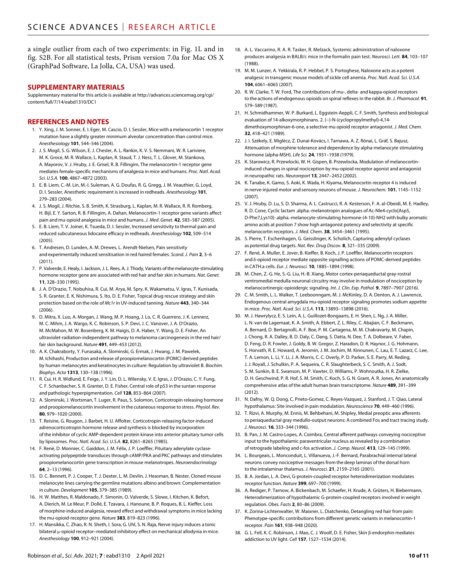a single outlier from each of two experiments: in Fig. 1L and in fig. S2B. For all statistical tests, Prism version 7.0a for Mac OS X (GraphPad Software, La Jolla, CA, USA) was used.

#### **SUPPLEMENTARY MATERIALS**

Supplementary material for this article is available at [http://advances.sciencemag.org/cgi/](http://advances.sciencemag.org/cgi/content/full/7/14/eabd1310/DC1) [content/full/7/14/eabd1310/DC1](http://advances.sciencemag.org/cgi/content/full/7/14/eabd1310/DC1)

#### **REFERENCES AND NOTES**

- 1. Y. Xing, J. M. Sonner, E. I. Eger, M. Cascio, D. I. Sessler, Mice with a melanocortin 1 receptor mutation have a slightly greater minimum alveolar concentration than control mice. *Anesthesiology* **101**, 544–546 (2004).
- 2. J. S. Mogil, S. G. Wilson, E. J. Chesler, A. L. Rankin, K. V. S. Nemmani, W. R. Lariviere, M. K. Groce, M. R. Wallace, L. Kaplan, R. Staud, T. J. Ness, T. L. Glover, M. Stankova, A. Mayorov, V. J. Hruby, J. E. Grisel, R. B. Fillingim, The melanocortin-1 receptor gene mediates female-specific mechanisms of analgesia in mice and humans. *Proc. Natl. Acad. Sci. U.S.A.* **100**, 4867–4872 (2003).
- 3. E. B. Liem, C.-M. Lin, M.-I. Suleman, A. G. Doufas, R. G. Gregg, J. M. Veauthier, G. Loyd, D. I. Sessler, Anesthetic requirement is increased in redheads. *Anesthesiology* **101**, 279–283 (2004).
- 4. J. S. Mogil, J. Ritchie, S. B. Smith, K. Strasburg, L. Kaplan, M. R. Wallace, R. R. Romberg, H. Bijl, E. Y. Sarton, R. B. Fillingim, A. Dahan, Melanocortin-1 receptor gene variants affect pain and mu-opioid analgesia in mice and humans. *J. Med. Genet.* **42**, 583–587 (2005).
- 5. E. B. Liem, T. V. Joiner, K. Tsueda, D. I. Sessler, Increased sensitivity to thermal pain and reduced subcutaneous lidocaine efficacy in redheads. *Anesthesiology* **102**, 509–514  $(2005)$
- 6. T. Andresen, D. Lunden, A. M. Drewes, L. Arendt-Nielsen, Pain sensitivity and experimentally induced sensitisation in red haired females. *Scand. J. Pain* **2**, 3–6 (2011).
- 7. P. Valverde, E. Healy, I.Jackson, J. L. Rees, A.J. Thody, Variants ofthe melanocyte-stimulating hormone receptor gene are associated with red hair and fair skin in humans. *Nat. Genet.* **11**, 328–330 (1995).
- 8. J. A. D'Orazio, T. Nobuhisa, R. Cui, M. Arya, M. Spry, K. Wakamatsu, V. Igras, T. Kunisada, S. R. Granter, E. K. Nishimura, S. Ito, D. E. Fisher, Topical drug rescue strategy and skin protection based on the role of *Mc1r* in UV-induced tanning. *Nature* **443**, 340–344  $(2006)$
- 9. D. Mitra, X. Luo, A. Morgan, J. Wang, M. P. Hoang, J. Lo, C. R. Guerrero, J. K. Lennerz, M. C. Mihm, J. A. Wargo, K. C. Robinson, S. P. Devi, J. C. Vanover, J. A. D'Orazio, M. McMahon, M. W. Bosenberg, K. M. Haigis, D. A. Haber, Y. Wang, D. E. Fisher, An ultraviolet-radiation-independent pathway to melanoma carcinogenesis in the red hair/ fair skin background. *Nature* **491**, 449–453 (2012).
- 10. A. K. Chakraborty, Y. Funasaka, A. Slominski, G. Ermak, J. Hwang, J. M. Pawelek, M. Ichihashi, Production and release of proopiomelanocortin (POMC) derived peptides by human melanocytes and keratinocytes in culture: Regulation by ultraviolet B. *Biochim. Biophys. Acta* **1313**, 130–138 (1996).
- 11. R. Cui, H. R. Widlund, E. Feige, J. Y. Lin, D. L. Wilensky, V. E. Igras, J. D'Orazio, C. Y. Fung, C. F. Schanbacher, S. R. Granter, D. E. Fisher, Central role of p53 in the suntan response and pathologic hyperpigmentation. *Cell* **128**, 853–864 (2007).
- 12. A. Slominski, J. Wortsman, T. Luger, R. Paus, S. Solomon, Corticotropin releasing hormone and proopiomelanocortin involvement in the cutaneous response to stress. *Physiol. Rev.* **80**, 979–1020 (2000).
- 13. T. Reisine, G. Rougon, J. Barbet, H. U. Affolter, Corticotropin-releasing factor-induced adrenocorticotropin hormone release and synthesis is blocked by incorporation of the inhibitor of cyclic AMP-dependent protein kinase into anterior pituitary tumor cells by liposomes. *Proc. Natl. Acad. Sci. U.S.A.* **82**, 8261–8265 (1985).
- 14. F. René, D. Monnier, C. Gaiddon, J. M. Félix, J. P. Loeffler, Pituitary adenylate cyclaseactivating polypeptide transduces through cAMP/PKA and PKC pathways and stimulates proopiomelanocortin gene transcription in mouse melanotropes. *Neuroendocrinology* **64**, 2–13 (1996).
- 15. D. C. Bennett, P. J. Cooper, T. J. Dexter, L. M. Devlin, J. Heasman, B. Nester, Cloned mouse melanocyte lines carrying the germline mutations albino and brown: Complementation in culture. *Development* **105**, 379–385 (1989).
- 16. H. W. Matthes, R. Maldonado, F. Simonin, O. Valverde, S. Slowe, I. Kitchen, K. Befort, A. Dierich, M. Le Meur, P. Dollé, E. Tzavara, J. Hanoune, B. P. Roques, B. L. Kieffer, Loss of morphine-induced analgesia, reward effect and withdrawal symptoms in mice lacking the mu-opioid-receptor gene. *Nature* **383**, 819–823 (1996).
- 17. H. Mansikka, C. Zhao, R. N. Sheth, I. Sora, G. Uhl, S. N. Raja, Nerve injury induces a tonic bilateral µ-opioid receptor-mediated inhibitory effect on mechanical allodynia in mice. *Anesthesiology* **100**, 912–921 (2004).
- 18. A. L. Vaccarino, R. A. R. Tasker, R. Melzack, Systemic administration of naloxone produces analgesia in BALB/c mice in the formalin pain test. *Neurosci. Lett.* **84**, 103–107 (1988).
- 19. M. M. Lunzer, A. Yekkirala, R. P. Hebbel, P. S. Portoghese, Naloxone acts as a potent analgesic in transgenic mouse models ofsickle cell anemia. *Proc. Natl. Acad. Sci. U.S.A.* **104**, 6061–6065 (2007).
- 20. R. W. Clarke, T. W. Ford, The contributions of mu-, delta- and kappa-opioid receptors to the actions of endogenous opioids on spinal reflexes in the rabbit. *Br. J. Pharmacol.* **91**, 579–589 (1987).
- 21. H. Schmidhammer, W. P. Burkard, L. Eggstein-Aeppli, C. F. Smith, Synthesis and biological evaluation of 14-alkoxymorphinans. 2. (−)-N-(cyclopropylmethyl)-4,14 dimethoxymorphinan-6-one, a selective mu opioid receptor antagonist. *J. Med. Chem.* **32**, 418–421 (1989).
- 22. J. I. Székely, E. Miglécz, Z. Dunai-Kovács, I. Tarnawa, A. Z. Rónai, L. Gráf, S. Bajusz, Attenuation of morphine tolerance and dependence by alpha-melanocyte stimulating hormone (alpha-MSH). *Life Sci.* **24**, 1931–1938 (1979).
- 23. K. Starowicz, R. Przewlocki, W. H. Gispen, B. Przewlocka, Modulation of melanocortininduced changes in spinal nociception by mu-opioid receptor agonist and antagonist in neuropathic rats. *Neuroreport* **13**, 2447–2452 (2002).
- 24. K. Tanabe, K. Gamo, S. Aoki, K. Wada, H. Kiyama, Melanocortin receptor 4 is induced in nerve-injured motor and sensory neurons of mouse. *J. Neurochem.* **101**, 1145–1152 (2007).
- 25. V. J. Hruby, D. Lu, S. D. Sharma, A. L. Castrucci, R. A. Kesterson, F. A. al-Obeidi, M. E. Hadley, R. D. Cone, Cyclic lactam .alpha.-melanotropin analogues of Ac-Nle4-cyclo[Asp5, D-Phe7,Lys10]-.alpha.-melanocyte-stimulating hormone-(4-10)-NH2 with bulky aromatic amino acids at position 7 show high antagonist potency and selectivity at specific melanocortin receptors. *J. Med. Chem.* **38**, 3454–3461 (1995).
- 26. S. Pierre, T. Eschenhagen, G. Geisslinger, K. Scholich, Capturing adenylyl cyclases as potential drug targets. *Nat. Rev. Drug Discov.* **8**, 321–335 (2009).
- 27. F. René, A. Muller, E. Jover, B. Kieffer, B. Koch, J. P. Loeffler, Melanocortin receptors and  $\delta$ -opioid receptor mediate opposite signalling actions of POMC-derived peptides in CATH.a cells. *Eur. J. Neurosci.* **10**, 1885–1894 (1998).
- 28. M. Chen, Z.-G. He, S.-G. Liu, H.-B. Xiang, Motor cortex-periaqueductal gray-rostral ventromedial medulla neuronal circuitry may involve in modulation of nociception by melanocortinergic-opioidergic signaling. *Int. J. Clin. Exp. Pathol.* **9**, 7897–7907 (2016).
- 29. C. M. Smith, L. L. Walker, T. Leeboonngam, M. J. McKinley, D. A. Denton, A. J. Lawrence, Endogenous central amygdala mu-opioid receptor signaling promotes sodium appetite in mice. *Proc. Natl. Acad. Sci. U.S.A.* **113**, 13893–13898 (2016).
- 30. M. J. Hawrylycz, E. S. Lein, A. L. Guillozet-Bongaarts, E. H. Shen, L. Ng, J. A. Miller, L. N. van de Lagemaat, K. A. Smith, A. Ebbert, Z. L. Riley, C. Abajian, C. F. Beckmann, A. Bernard, D. Bertagnolli, A. F. Boe, P. M. Cartagena, M. M. Chakravarty, M. Chapin, J. Chong, R. A. Dalley, B. D. Daly, C. Dang, S. Datta, N. Dee, T. A. Dolbeare, V. Faber, D. Feng, D. R. Fowler, J. Goldy, B. W. Gregor, Z. Haradon, D. R. Haynor, J. G. Hohmann, S. Horvath, R. E. Howard, A. Jeromin, J. M. Jochim, M. Kinnunen, C. Lau, E. T. Lazarz, C. Lee, T. A. Lemon, L. Li, Y. Li, J. A. Morris, C. C. Overly, P. D. Parker, S. E. Parry, M. Reding, J. J. Royall, J. Schulkin, P. A. Sequeira, C. R. Slaughterbeck, S. C. Smith, A. J. Sodt, S. M. Sunkin, B. E. Swanson, M. P. Vawter, D. Williams, P. Wohnoutka, H. R. Zielke, D. H. Geschwind, P. R. Hof, S. M. Smith, C. Koch, S. G. N. Grant, A. R. Jones, An anatomically comprehensive atlas of the adult human brain transcriptome. *Nature* **489**, 391–399 (2012).
- 31. N. Dafny, W. Q. Dong, C. Prieto-Gomez, C. Reyes-Vazquez, J. Stanford, J. T. Qiao, Lateral hypothalamus: Site involved in pain modulation. *Neuroscience* **70**, 449–460 (1996).
- 32. T. Rizvi, A. Murphy, M. Ennis, M. Behbehani, M. Shipley, Medial preoptic area afferents to periaqueductal gray medullo-output neurons: A combined Fos and tract tracing study. *J. Neurosci.* **16**, 333–344 (1996).
- 33. B. Pan, J. M. Castro-Lopes, A. Coimbra, Central afferent pathways conveying nociceptive input to the hypothalamic paraventricular nucleus asrevealed by a combination of retrograde labeling and c-fos activation. *J. Comp. Neurol.* **413**, 129–145 (1999).
- 34. L. Bourgeais, L. Monconduit, L. Villanueva, J.-F. Bernard, Parabrachial internal lateral neurons convey nociceptive messages from the deep laminas of the dorsal horn to the intralaminar thalamus. *J. Neurosci.* **21**, 2159–2165 (2001).
- 35. B. A. Jordan, L. A. Devi, G-protein-coupled receptor heterodimerization modulates receptor function. *Nature* **399**, 697–700 (1999).
- 36. A. Rediger, P. Tarnow, A. Bickenbach, M. Schaefer, H. Krude, A. Grüters, H. Biebermann, Heterodimerization of hypothalamic G-protein-coupled receptors involved in weight regulation. *Obes. Facts* **2**, 80–86 (2009).
- 37. K. Zorina-Lichtenwalter, W. Maixner, L. Diatchenko, Detangling red hair from pain: Phenotype-specific contributions from different genetic variants in melanocortin-1 receptor. *Pain* **161**, 938–948 (2020).
- 38. G. L. Fell, K. C. Robinson, J. Mao, C. J. Woolf, D. E. Fisher, Skin ß-endorphin mediates addiction to UV light. *Cell* **157**, 1527–1534 (2014).